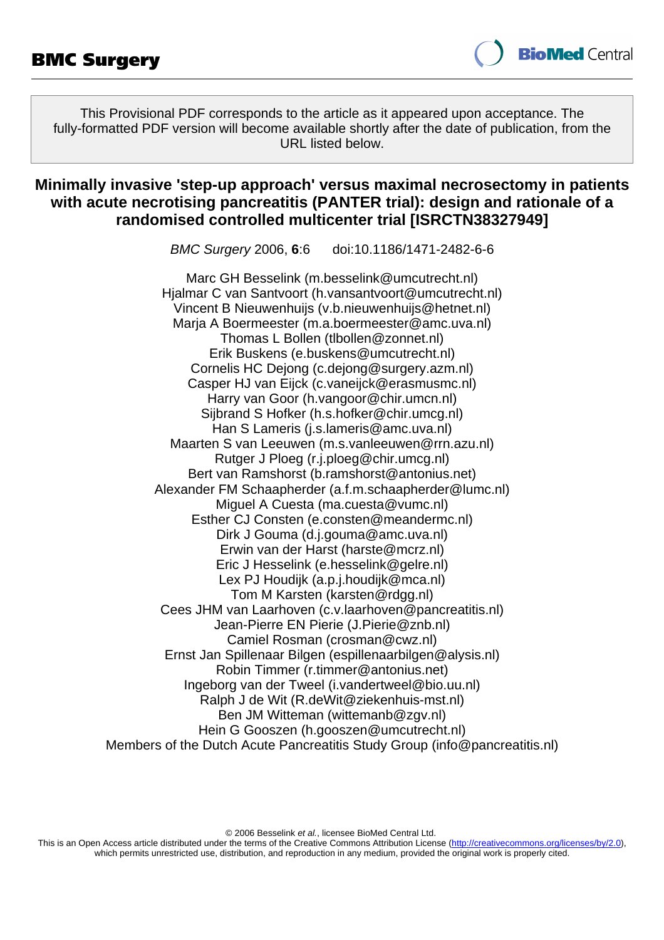

This Provisional PDF corresponds to the article as it appeared upon acceptance. The fully-formatted PDF version will become available shortly after the date of publication, from the URL listed below.

# **Minimally invasive 'step-up approach' versus maximal necrosectomy in patients with acute necrotising pancreatitis (PANTER trial): design and rationale of a randomised controlled multicenter trial [ISRCTN38327949]**

BMC Surgery 2006, **6**:6 doi:10.1186/1471-2482-6-6

Marc GH Besselink ([m.besselink@umcutrecht.nl](mailto:m.besselink@umcutrecht.nl)) Hjalmar C van Santvoort [\(h.vansantvoort@umcutrecht.nl](mailto:h.vansantvoort@umcutrecht.nl)) Vincent B Nieuwenhuijs ([v.b.nieuwenhuijs@hetnet.nl\)](mailto:v.b.nieuwenhuijs@hetnet.nl) Marja A Boermeester ([m.a.boermeester@amc.uva.nl](mailto:m.a.boermeester@amc.uva.nl)) Thomas L Bollen ([tlbollen@zonnet.nl\)](mailto:tlbollen@zonnet.nl) Erik Buskens ([e.buskens@umcutrecht.nl\)](mailto:e.buskens@umcutrecht.nl) Cornelis HC Dejong [\(c.dejong@surgery.azm.nl](mailto:c.dejong@surgery.azm.nl)) Casper HJ van Eijck ([c.vaneijck@erasmusmc.nl](mailto:c.vaneijck@erasmusmc.nl)) Harry van Goor [\(h.vangoor@chir.umcn.nl](mailto:h.vangoor@chir.umcn.nl)) Sijbrand S Hofker ([h.s.hofker@chir.umcg.nl](mailto:h.s.hofker@chir.umcg.nl)) Han S Lameris ([j.s.lameris@amc.uva.nl](mailto:j.s.lameris@amc.uva.nl)) Maarten S van Leeuwen ([m.s.vanleeuwen@rrn.azu.nl\)](mailto:m.s.vanleeuwen@rrn.azu.nl) Rutger J Ploeg [\(r.j.ploeg@chir.umcg.nl\)](mailto:r.j.ploeg@chir.umcg.nl) Bert van Ramshorst ([b.ramshorst@antonius.net\)](mailto:b.ramshorst@antonius.net) Alexander FM Schaapherder [\(a.f.m.schaapherder@lumc.nl\)](mailto:a.f.m.schaapherder@lumc.nl) Miguel A Cuesta ([ma.cuesta@vumc.nl\)](mailto:ma.cuesta@vumc.nl) Esther CJ Consten ([e.consten@meandermc.nl\)](mailto:e.consten@meandermc.nl) Dirk J Gouma ([d.j.gouma@amc.uva.nl](mailto:d.j.gouma@amc.uva.nl)) Erwin van der Harst ([harste@mcrz.nl](mailto:harste@mcrz.nl)) Eric J Hesselink [\(e.hesselink@gelre.nl\)](mailto:e.hesselink@gelre.nl) Lex PJ Houdijk ([a.p.j.houdijk@mca.nl](mailto:a.p.j.houdijk@mca.nl)) Tom M Karsten [\(karsten@rdgg.nl](mailto:karsten@rdgg.nl)) Cees JHM van Laarhoven ([c.v.laarhoven@pancreatitis.nl](mailto:c.v.laarhoven@pancreatitis.nl)) Jean-Pierre EN Pierie [\(J.Pierie@znb.nl](mailto:J.Pierie@znb.nl)) Camiel Rosman [\(crosman@cwz.nl\)](mailto:crosman@cwz.nl) Ernst Jan Spillenaar Bilgen ([espillenaarbilgen@alysis.nl\)](mailto:espillenaarbilgen@alysis.nl) Robin Timmer [\(r.timmer@antonius.net\)](mailto:r.timmer@antonius.net) Ingeborg van der Tweel [\(i.vandertweel@bio.uu.nl](mailto:i.vandertweel@bio.uu.nl)) Ralph J de Wit ([R.deWit@ziekenhuis-mst.nl](mailto:R.deWit@ziekenhuis-mst.nl)) Ben JM Witteman ([wittemanb@zgv.nl\)](mailto:wittemanb@zgv.nl) Hein G Gooszen ([h.gooszen@umcutrecht.nl](mailto:h.gooszen@umcutrecht.nl)) Members of the Dutch Acute Pancreatitis Study Group ([info@pancreatitis.nl](mailto:info@pancreatitis.nl))

© 2006 Besselink et al., licensee BioMed Central Ltd.

This is an Open Access article distributed under the terms of the Creative Commons Attribution License (<http://creativecommons.org/licenses/by/2.0>), which permits unrestricted use, distribution, and reproduction in any medium, provided the original work is properly cited.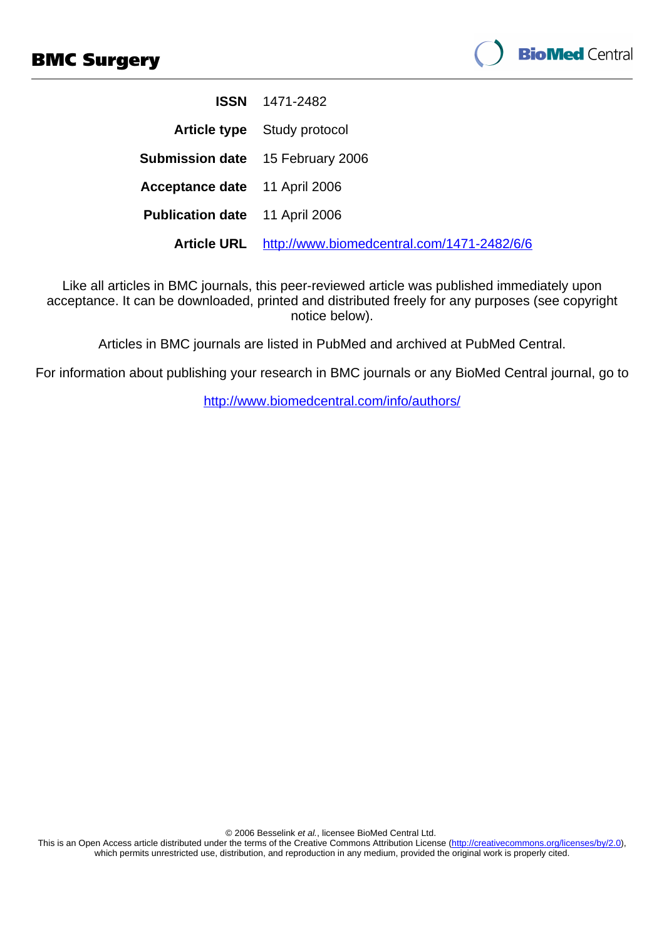|                                       | <b>ISSN</b> 1471-2482                                  |  |  |
|---------------------------------------|--------------------------------------------------------|--|--|
|                                       | <b>Article type</b> Study protocol                     |  |  |
|                                       | <b>Submission date</b> 15 February 2006                |  |  |
| <b>Acceptance date</b> 11 April 2006  |                                                        |  |  |
| <b>Publication date</b> 11 April 2006 |                                                        |  |  |
|                                       | Article URL http://www.biomedcentral.com/1471-2482/6/6 |  |  |

Like all articles in BMC journals, this peer-reviewed article was published immediately upon acceptance. It can be downloaded, printed and distributed freely for any purposes (see copyright notice below).

Articles in BMC journals are listed in PubMed and archived at PubMed Central.

For information about publishing your research in BMC journals or any BioMed Central journal, go to

<http://www.biomedcentral.com/info/authors/>

© 2006 Besselink et al., licensee BioMed Central Ltd.

This is an Open Access article distributed under the terms of the Creative Commons Attribution License (<http://creativecommons.org/licenses/by/2.0>), which permits unrestricted use, distribution, and reproduction in any medium, provided the original work is properly cited.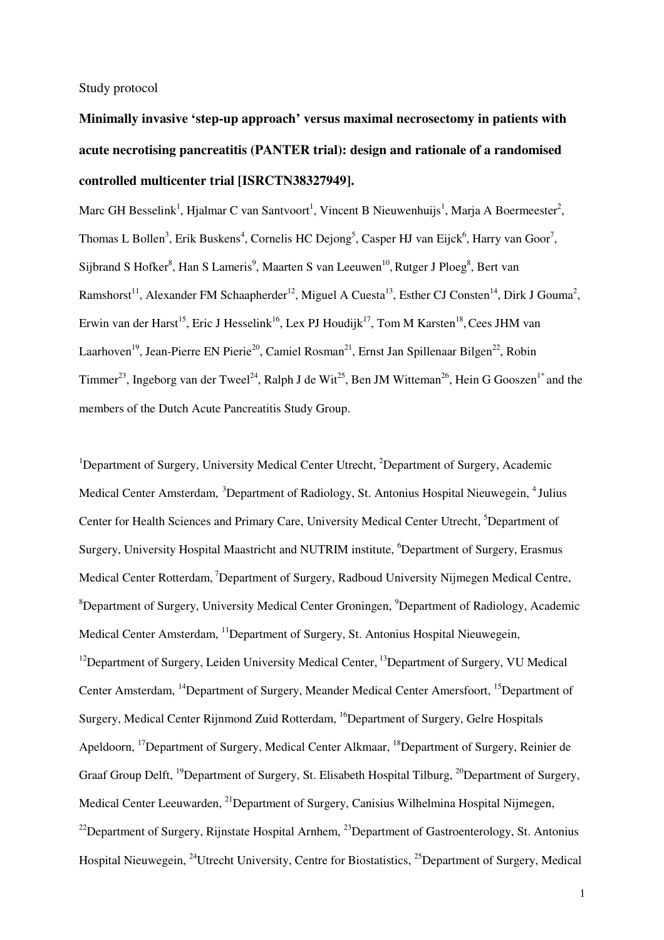Study protocol

**Minimally invasive 'step-up approach' versus maximal necrosectomy in patients with acute necrotising pancreatitis (PANTER trial): design and rationale of a randomised controlled multicenter trial [ISRCTN38327949].** 

Marc GH Besselink<sup>1</sup>, Hjalmar C van Santvoort<sup>1</sup>, Vincent B Nieuwenhuijs<sup>1</sup>, Marja A Boermeester<sup>2</sup>, Thomas L Bollen<sup>3</sup>, Erik Buskens<sup>4</sup>, Cornelis HC Dejong<sup>5</sup>, Casper HJ van Eijck<sup>6</sup>, Harry van Goor<sup>7</sup>, Sijbrand S Hofker<sup>8</sup>, Han S Lameris<sup>9</sup>, Maarten S van Leeuwen<sup>10</sup>, Rutger J Ploeg<sup>8</sup>, Bert van Ramshorst<sup>11</sup>, Alexander FM Schaapherder<sup>12</sup>, Miguel A Cuesta<sup>13</sup>, Esther CJ Consten<sup>14</sup>, Dirk J Gouma<sup>2</sup>, Erwin van der Harst<sup>15</sup>, Eric J Hesselink<sup>16</sup>, Lex PJ Houdijk<sup>17</sup>, Tom M Karsten<sup>18</sup>, Cees JHM van Laarhoven<sup>19</sup>, Jean-Pierre EN Pierie<sup>20</sup>, Camiel Rosman<sup>21</sup>, Ernst Jan Spillenaar Bilgen<sup>22</sup>, Robin Timmer<sup>23</sup>, Ingeborg van der Tweel<sup>24</sup>, Ralph J de Wit<sup>25</sup>, Ben JM Witteman<sup>26</sup>, Hein G Gooszen<sup>1\*</sup> and the members of the Dutch Acute Pancreatitis Study Group.

<sup>1</sup>Department of Surgery, University Medical Center Utrecht, <sup>2</sup>Department of Surgery, Academic Medical Center Amsterdam, <sup>3</sup>Department of Radiology, St. Antonius Hospital Nieuwegein, <sup>4</sup> Julius Center for Health Sciences and Primary Care, University Medical Center Utrecht, <sup>5</sup>Department of Surgery, University Hospital Maastricht and NUTRIM institute, <sup>6</sup>Department of Surgery, Erasmus Medical Center Rotterdam, <sup>7</sup>Department of Surgery, Radboud University Nijmegen Medical Centre, <sup>8</sup>Department of Surgery, University Medical Center Groningen, <sup>9</sup>Department of Radiology, Academic Medical Center Amsterdam, <sup>11</sup>Department of Surgery, St. Antonius Hospital Nieuwegein,  $12$ Department of Surgery, Leiden University Medical Center,  $13$ Department of Surgery, VU Medical Center Amsterdam, <sup>14</sup>Department of Surgery, Meander Medical Center Amersfoort, <sup>15</sup>Department of Surgery, Medical Center Rijnmond Zuid Rotterdam, <sup>16</sup>Department of Surgery, Gelre Hospitals Apeldoorn, <sup>17</sup>Department of Surgery, Medical Center Alkmaar, <sup>18</sup>Department of Surgery, Reinier de Graaf Group Delft, <sup>19</sup>Department of Surgery, St. Elisabeth Hospital Tilburg, <sup>20</sup>Department of Surgery, Medical Center Leeuwarden, <sup>21</sup>Department of Surgery, Canisius Wilhelmina Hospital Nijmegen, <sup>22</sup>Department of Surgery, Rijnstate Hospital Arnhem, <sup>23</sup>Department of Gastroenterology, St. Antonius Hospital Nieuwegein, <sup>24</sup>Utrecht University, Centre for Biostatistics, <sup>25</sup>Department of Surgery, Medical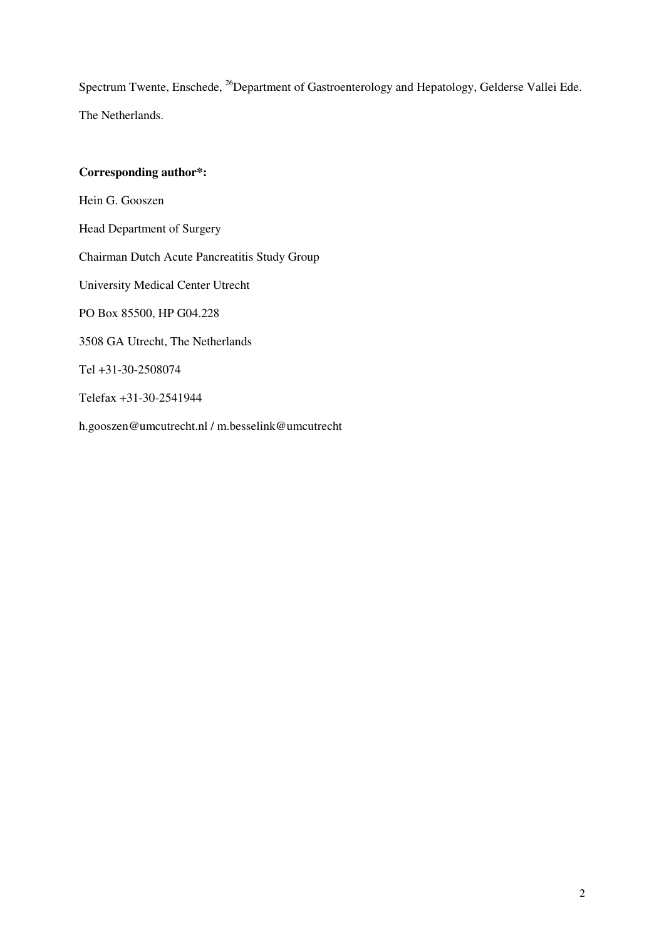Spectrum Twente, Enschede, <sup>26</sup>Department of Gastroenterology and Hepatology, Gelderse Vallei Ede. The Netherlands.

## **Corresponding author\*:**

Hein G. Gooszen Head Department of Surgery Chairman Dutch Acute Pancreatitis Study Group University Medical Center Utrecht PO Box 85500, HP G04.228 3508 GA Utrecht, The Netherlands Tel +31-30-2508074 Telefax +31-30-2541944 h.gooszen@umcutrecht.nl / m.besselink@umcutrecht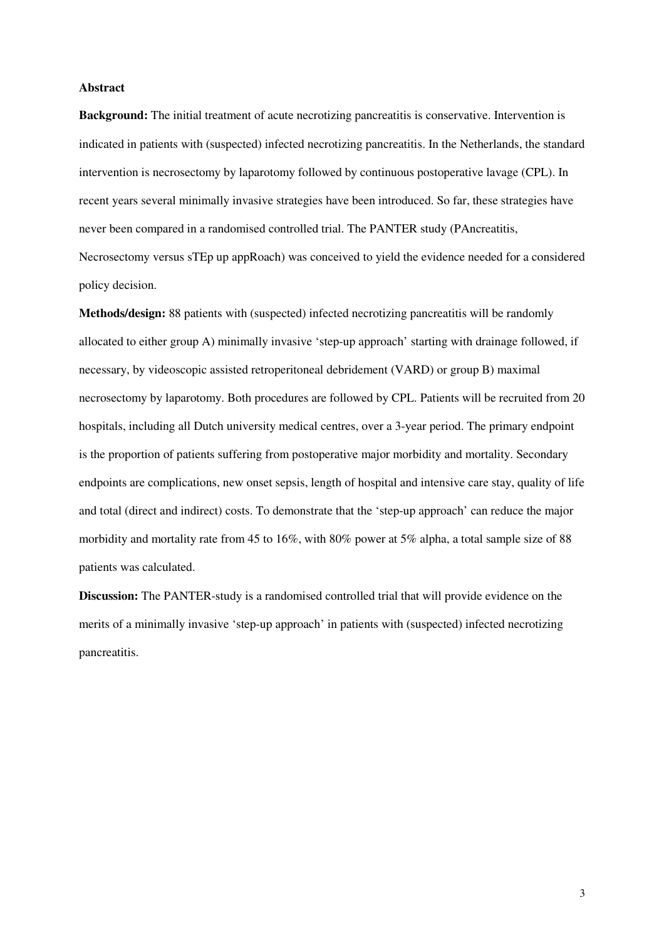### **Abstract**

**Background:** The initial treatment of acute necrotizing pancreatitis is conservative. Intervention is indicated in patients with (suspected) infected necrotizing pancreatitis. In the Netherlands, the standard intervention is necrosectomy by laparotomy followed by continuous postoperative lavage (CPL). In recent years several minimally invasive strategies have been introduced. So far, these strategies have never been compared in a randomised controlled trial. The PANTER study (PAncreatitis, Necrosectomy versus sTEp up appRoach) was conceived to yield the evidence needed for a considered policy decision.

**Methods/design:** 88 patients with (suspected) infected necrotizing pancreatitis will be randomly allocated to either group A) minimally invasive 'step-up approach' starting with drainage followed, if necessary, by videoscopic assisted retroperitoneal debridement (VARD) or group B) maximal necrosectomy by laparotomy. Both procedures are followed by CPL. Patients will be recruited from 20 hospitals, including all Dutch university medical centres, over a 3-year period. The primary endpoint is the proportion of patients suffering from postoperative major morbidity and mortality. Secondary endpoints are complications, new onset sepsis, length of hospital and intensive care stay, quality of life and total (direct and indirect) costs. To demonstrate that the 'step-up approach' can reduce the major morbidity and mortality rate from 45 to 16%, with 80% power at 5% alpha, a total sample size of 88 patients was calculated.

**Discussion:** The PANTER-study is a randomised controlled trial that will provide evidence on the merits of a minimally invasive 'step-up approach' in patients with (suspected) infected necrotizing pancreatitis.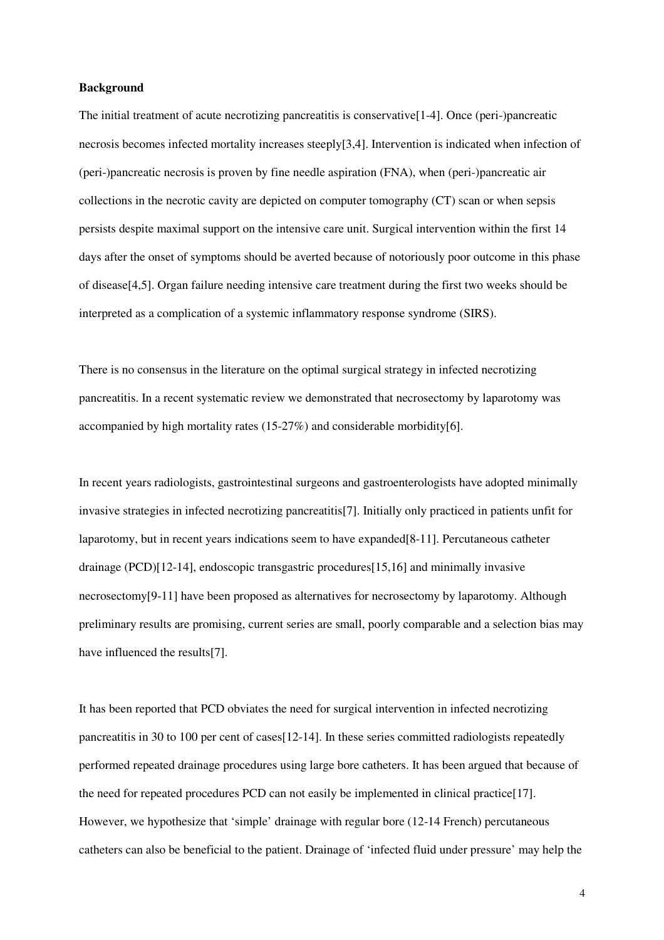## **Background**

The initial treatment of acute necrotizing pancreatitis is conservative[1-4]. Once (peri-)pancreatic necrosis becomes infected mortality increases steeply[3,4]. Intervention is indicated when infection of (peri-)pancreatic necrosis is proven by fine needle aspiration (FNA), when (peri-)pancreatic air collections in the necrotic cavity are depicted on computer tomography (CT) scan or when sepsis persists despite maximal support on the intensive care unit. Surgical intervention within the first 14 days after the onset of symptoms should be averted because of notoriously poor outcome in this phase of disease[4,5]. Organ failure needing intensive care treatment during the first two weeks should be interpreted as a complication of a systemic inflammatory response syndrome (SIRS).

There is no consensus in the literature on the optimal surgical strategy in infected necrotizing pancreatitis. In a recent systematic review we demonstrated that necrosectomy by laparotomy was accompanied by high mortality rates (15-27%) and considerable morbidity[6].

In recent years radiologists, gastrointestinal surgeons and gastroenterologists have adopted minimally invasive strategies in infected necrotizing pancreatitis[7]. Initially only practiced in patients unfit for laparotomy, but in recent years indications seem to have expanded[8-11]. Percutaneous catheter drainage (PCD)[12-14], endoscopic transgastric procedures[15,16] and minimally invasive necrosectomy[9-11] have been proposed as alternatives for necrosectomy by laparotomy. Although preliminary results are promising, current series are small, poorly comparable and a selection bias may have influenced the results[7].

It has been reported that PCD obviates the need for surgical intervention in infected necrotizing pancreatitis in 30 to 100 per cent of cases[12-14]. In these series committed radiologists repeatedly performed repeated drainage procedures using large bore catheters. It has been argued that because of the need for repeated procedures PCD can not easily be implemented in clinical practice[17]. However, we hypothesize that 'simple' drainage with regular bore (12-14 French) percutaneous catheters can also be beneficial to the patient. Drainage of 'infected fluid under pressure' may help the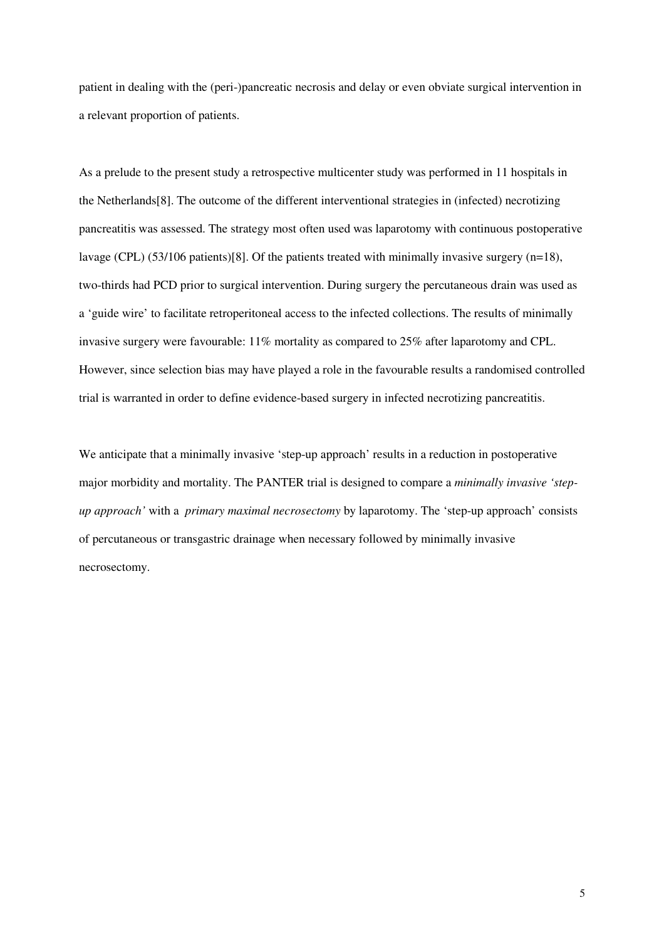patient in dealing with the (peri-)pancreatic necrosis and delay or even obviate surgical intervention in a relevant proportion of patients.

As a prelude to the present study a retrospective multicenter study was performed in 11 hospitals in the Netherlands[8]. The outcome of the different interventional strategies in (infected) necrotizing pancreatitis was assessed. The strategy most often used was laparotomy with continuous postoperative lavage (CPL) (53/106 patients)[8]. Of the patients treated with minimally invasive surgery (n=18), two-thirds had PCD prior to surgical intervention. During surgery the percutaneous drain was used as a 'guide wire' to facilitate retroperitoneal access to the infected collections. The results of minimally invasive surgery were favourable: 11% mortality as compared to 25% after laparotomy and CPL. However, since selection bias may have played a role in the favourable results a randomised controlled trial is warranted in order to define evidence-based surgery in infected necrotizing pancreatitis.

We anticipate that a minimally invasive 'step-up approach' results in a reduction in postoperative major morbidity and mortality. The PANTER trial is designed to compare a *minimally invasive 'stepup approach'* with a *primary maximal necrosectomy* by laparotomy. The 'step-up approach' consists of percutaneous or transgastric drainage when necessary followed by minimally invasive necrosectomy.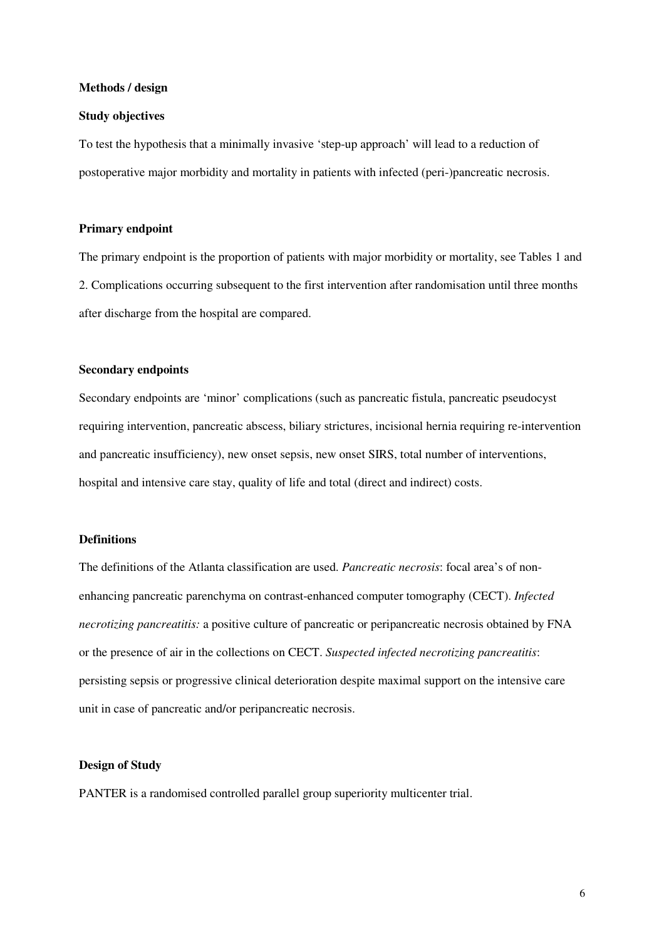### **Methods / design**

## **Study objectives**

To test the hypothesis that a minimally invasive 'step-up approach' will lead to a reduction of postoperative major morbidity and mortality in patients with infected (peri-)pancreatic necrosis.

## **Primary endpoint**

The primary endpoint is the proportion of patients with major morbidity or mortality, see Tables 1 and 2. Complications occurring subsequent to the first intervention after randomisation until three months after discharge from the hospital are compared.

## **Secondary endpoints**

Secondary endpoints are 'minor' complications (such as pancreatic fistula, pancreatic pseudocyst requiring intervention, pancreatic abscess, biliary strictures, incisional hernia requiring re-intervention and pancreatic insufficiency), new onset sepsis, new onset SIRS, total number of interventions, hospital and intensive care stay, quality of life and total (direct and indirect) costs.

## **Definitions**

The definitions of the Atlanta classification are used. *Pancreatic necrosis*: focal area's of nonenhancing pancreatic parenchyma on contrast-enhanced computer tomography (CECT). *Infected necrotizing pancreatitis:* a positive culture of pancreatic or peripancreatic necrosis obtained by FNA or the presence of air in the collections on CECT. *Suspected infected necrotizing pancreatitis*: persisting sepsis or progressive clinical deterioration despite maximal support on the intensive care unit in case of pancreatic and/or peripancreatic necrosis.

## **Design of Study**

PANTER is a randomised controlled parallel group superiority multicenter trial.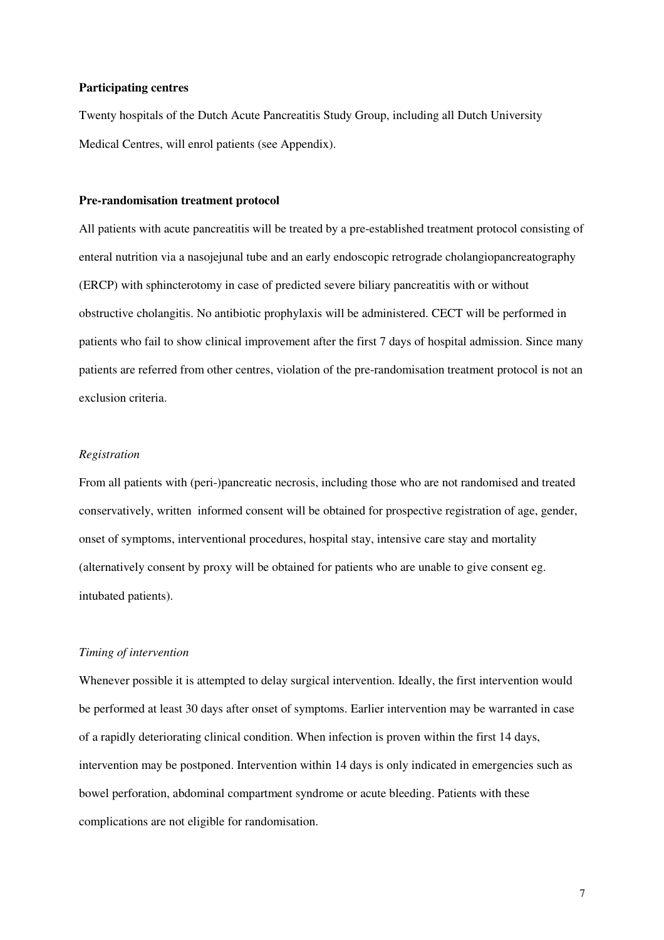## **Participating centres**

Twenty hospitals of the Dutch Acute Pancreatitis Study Group, including all Dutch University Medical Centres, will enrol patients (see Appendix).

## **Pre-randomisation treatment protocol**

All patients with acute pancreatitis will be treated by a pre-established treatment protocol consisting of enteral nutrition via a nasojejunal tube and an early endoscopic retrograde cholangiopancreatography (ERCP) with sphincterotomy in case of predicted severe biliary pancreatitis with or without obstructive cholangitis. No antibiotic prophylaxis will be administered. CECT will be performed in patients who fail to show clinical improvement after the first 7 days of hospital admission. Since many patients are referred from other centres, violation of the pre-randomisation treatment protocol is not an exclusion criteria.

## *Registration*

From all patients with (peri-)pancreatic necrosis, including those who are not randomised and treated conservatively, written informed consent will be obtained for prospective registration of age, gender, onset of symptoms, interventional procedures, hospital stay, intensive care stay and mortality (alternatively consent by proxy will be obtained for patients who are unable to give consent eg. intubated patients).

## *Timing of intervention*

Whenever possible it is attempted to delay surgical intervention. Ideally, the first intervention would be performed at least 30 days after onset of symptoms. Earlier intervention may be warranted in case of a rapidly deteriorating clinical condition. When infection is proven within the first 14 days, intervention may be postponed. Intervention within 14 days is only indicated in emergencies such as bowel perforation, abdominal compartment syndrome or acute bleeding. Patients with these complications are not eligible for randomisation.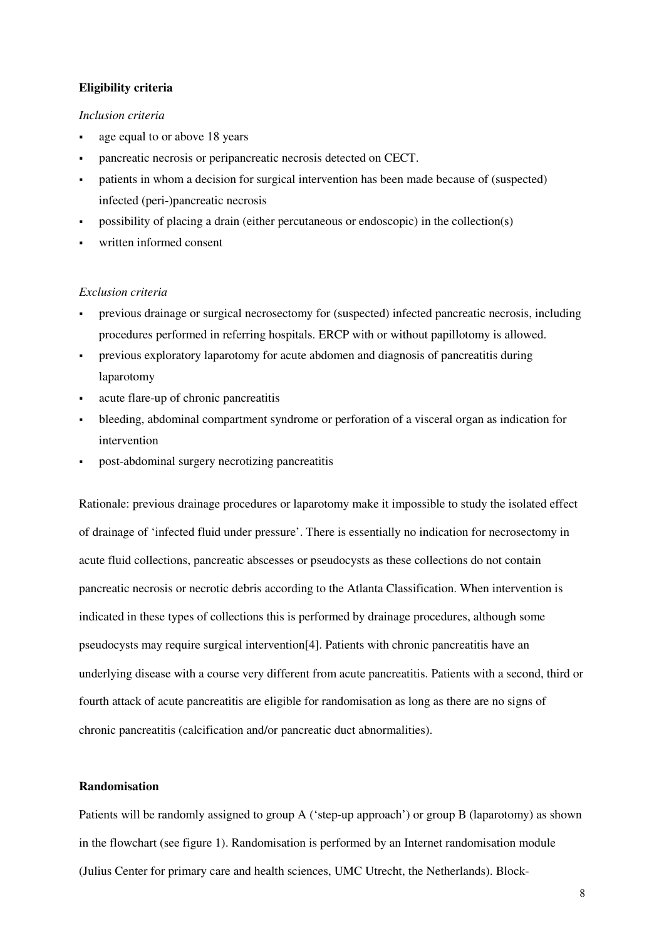## **Eligibility criteria**

## *Inclusion criteria*

- age equal to or above 18 years
- pancreatic necrosis or peripancreatic necrosis detected on CECT.
- patients in whom a decision for surgical intervention has been made because of (suspected) infected (peri-)pancreatic necrosis
- possibility of placing a drain (either percutaneous or endoscopic) in the collection(s)
- written informed consent

## *Exclusion criteria*

- previous drainage or surgical necrosectomy for (suspected) infected pancreatic necrosis, including procedures performed in referring hospitals. ERCP with or without papillotomy is allowed.
- previous exploratory laparotomy for acute abdomen and diagnosis of pancreatitis during laparotomy
- acute flare-up of chronic pancreatitis
- bleeding, abdominal compartment syndrome or perforation of a visceral organ as indication for intervention
- post-abdominal surgery necrotizing pancreatitis

Rationale: previous drainage procedures or laparotomy make it impossible to study the isolated effect of drainage of 'infected fluid under pressure'. There is essentially no indication for necrosectomy in acute fluid collections, pancreatic abscesses or pseudocysts as these collections do not contain pancreatic necrosis or necrotic debris according to the Atlanta Classification. When intervention is indicated in these types of collections this is performed by drainage procedures, although some pseudocysts may require surgical intervention[4]. Patients with chronic pancreatitis have an underlying disease with a course very different from acute pancreatitis. Patients with a second, third or fourth attack of acute pancreatitis are eligible for randomisation as long as there are no signs of chronic pancreatitis (calcification and/or pancreatic duct abnormalities).

## **Randomisation**

Patients will be randomly assigned to group A ('step-up approach') or group B (laparotomy) as shown in the flowchart (see figure 1). Randomisation is performed by an Internet randomisation module (Julius Center for primary care and health sciences, UMC Utrecht, the Netherlands). Block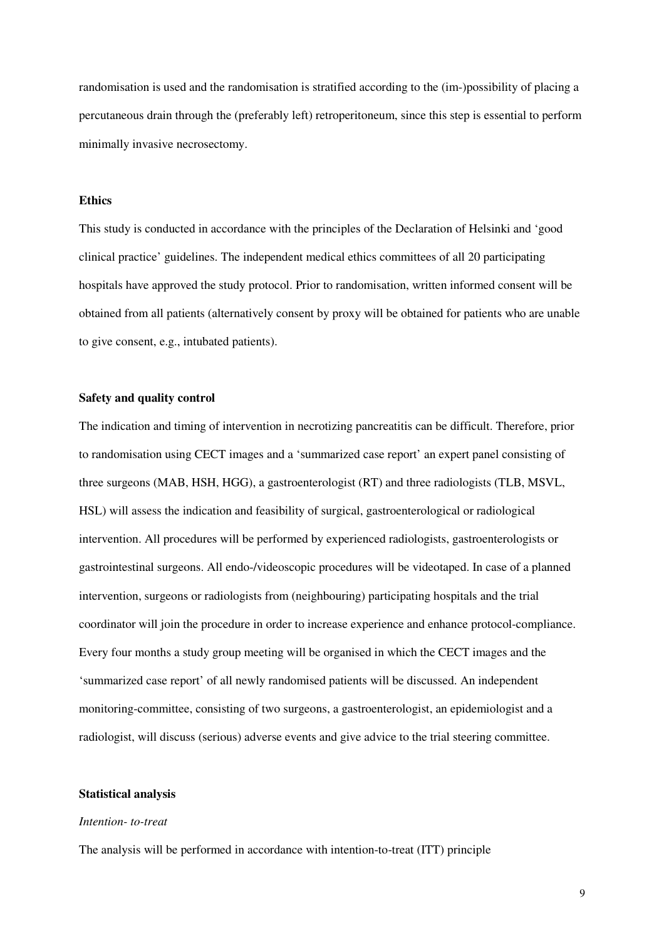randomisation is used and the randomisation is stratified according to the (im-)possibility of placing a percutaneous drain through the (preferably left) retroperitoneum, since this step is essential to perform minimally invasive necrosectomy.

#### **Ethics**

This study is conducted in accordance with the principles of the Declaration of Helsinki and 'good clinical practice' guidelines. The independent medical ethics committees of all 20 participating hospitals have approved the study protocol. Prior to randomisation, written informed consent will be obtained from all patients (alternatively consent by proxy will be obtained for patients who are unable to give consent, e.g., intubated patients).

## **Safety and quality control**

The indication and timing of intervention in necrotizing pancreatitis can be difficult. Therefore, prior to randomisation using CECT images and a 'summarized case report' an expert panel consisting of three surgeons (MAB, HSH, HGG), a gastroenterologist (RT) and three radiologists (TLB, MSVL, HSL) will assess the indication and feasibility of surgical, gastroenterological or radiological intervention. All procedures will be performed by experienced radiologists, gastroenterologists or gastrointestinal surgeons. All endo-/videoscopic procedures will be videotaped. In case of a planned intervention, surgeons or radiologists from (neighbouring) participating hospitals and the trial coordinator will join the procedure in order to increase experience and enhance protocol-compliance. Every four months a study group meeting will be organised in which the CECT images and the 'summarized case report' of all newly randomised patients will be discussed. An independent monitoring-committee, consisting of two surgeons, a gastroenterologist, an epidemiologist and a radiologist, will discuss (serious) adverse events and give advice to the trial steering committee.

## **Statistical analysis**

#### *Intention- to-treat*

The analysis will be performed in accordance with intention-to-treat (ITT) principle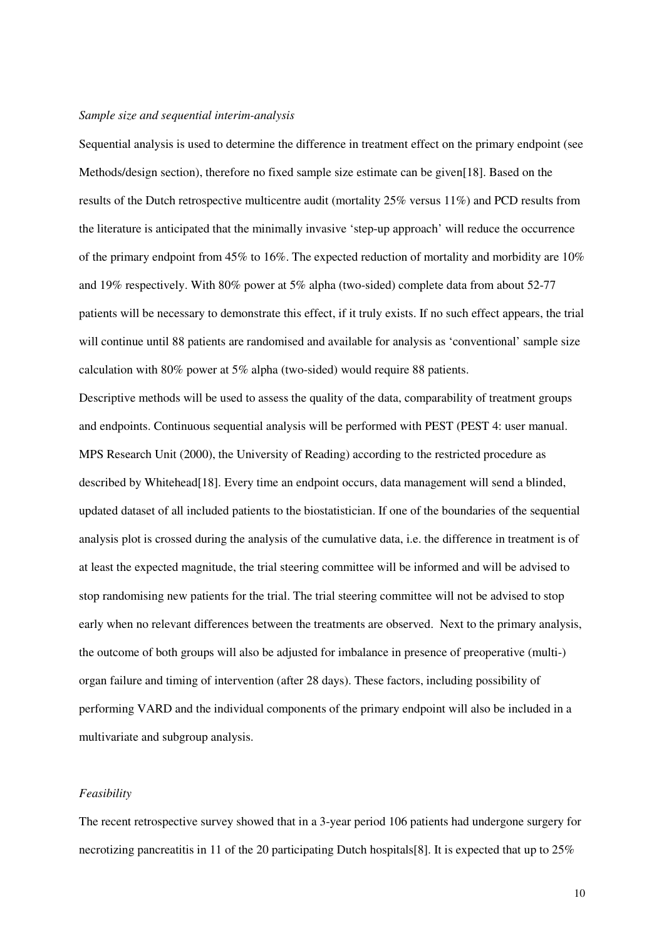### *Sample size and sequential interim-analysis*

Sequential analysis is used to determine the difference in treatment effect on the primary endpoint (see Methods/design section), therefore no fixed sample size estimate can be given[18]. Based on the results of the Dutch retrospective multicentre audit (mortality 25% versus 11%) and PCD results from the literature is anticipated that the minimally invasive 'step-up approach' will reduce the occurrence of the primary endpoint from 45% to 16%. The expected reduction of mortality and morbidity are 10% and 19% respectively. With 80% power at 5% alpha (two-sided) complete data from about 52-77 patients will be necessary to demonstrate this effect, if it truly exists. If no such effect appears, the trial will continue until 88 patients are randomised and available for analysis as 'conventional' sample size calculation with 80% power at 5% alpha (two-sided) would require 88 patients.

Descriptive methods will be used to assess the quality of the data, comparability of treatment groups and endpoints. Continuous sequential analysis will be performed with PEST (PEST 4: user manual. MPS Research Unit (2000), the University of Reading) according to the restricted procedure as described by Whitehead [18]. Every time an endpoint occurs, data management will send a blinded, updated dataset of all included patients to the biostatistician. If one of the boundaries of the sequential analysis plot is crossed during the analysis of the cumulative data, i.e. the difference in treatment is of at least the expected magnitude, the trial steering committee will be informed and will be advised to stop randomising new patients for the trial. The trial steering committee will not be advised to stop early when no relevant differences between the treatments are observed. Next to the primary analysis, the outcome of both groups will also be adjusted for imbalance in presence of preoperative (multi-) organ failure and timing of intervention (after 28 days). These factors, including possibility of performing VARD and the individual components of the primary endpoint will also be included in a multivariate and subgroup analysis.

## *Feasibility*

The recent retrospective survey showed that in a 3-year period 106 patients had undergone surgery for necrotizing pancreatitis in 11 of the 20 participating Dutch hospitals [8]. It is expected that up to  $25\%$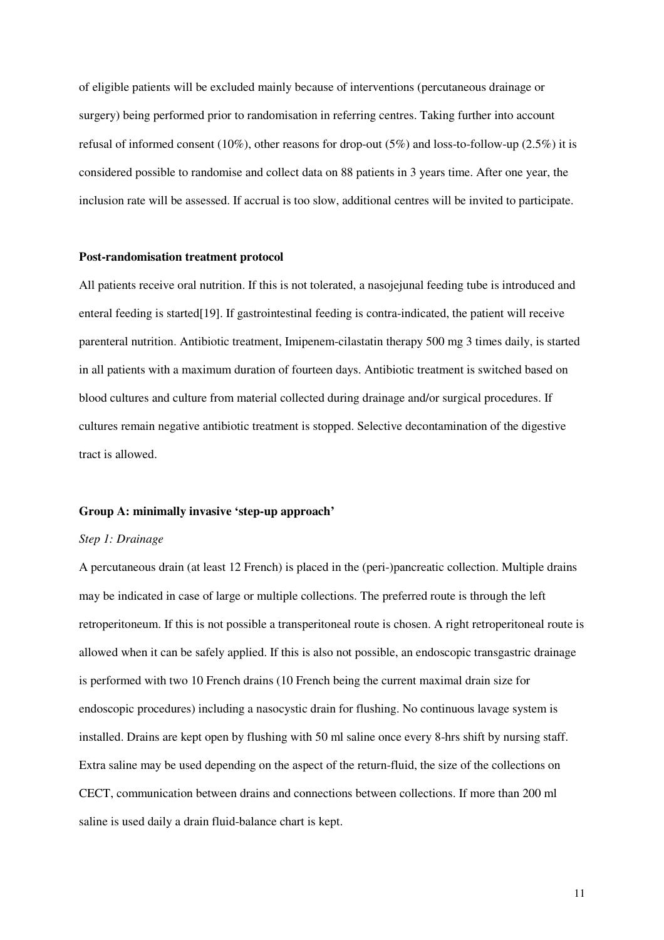of eligible patients will be excluded mainly because of interventions (percutaneous drainage or surgery) being performed prior to randomisation in referring centres. Taking further into account refusal of informed consent (10%), other reasons for drop-out (5%) and loss-to-follow-up (2.5%) it is considered possible to randomise and collect data on 88 patients in 3 years time. After one year, the inclusion rate will be assessed. If accrual is too slow, additional centres will be invited to participate.

### **Post-randomisation treatment protocol**

All patients receive oral nutrition. If this is not tolerated, a nasojejunal feeding tube is introduced and enteral feeding is started[19]. If gastrointestinal feeding is contra-indicated, the patient will receive parenteral nutrition. Antibiotic treatment, Imipenem-cilastatin therapy 500 mg 3 times daily, is started in all patients with a maximum duration of fourteen days. Antibiotic treatment is switched based on blood cultures and culture from material collected during drainage and/or surgical procedures. If cultures remain negative antibiotic treatment is stopped. Selective decontamination of the digestive tract is allowed.

#### **Group A: minimally invasive 'step-up approach'**

## *Step 1: Drainage*

A percutaneous drain (at least 12 French) is placed in the (peri-)pancreatic collection. Multiple drains may be indicated in case of large or multiple collections. The preferred route is through the left retroperitoneum. If this is not possible a transperitoneal route is chosen. A right retroperitoneal route is allowed when it can be safely applied. If this is also not possible, an endoscopic transgastric drainage is performed with two 10 French drains (10 French being the current maximal drain size for endoscopic procedures) including a nasocystic drain for flushing. No continuous lavage system is installed. Drains are kept open by flushing with 50 ml saline once every 8-hrs shift by nursing staff. Extra saline may be used depending on the aspect of the return-fluid, the size of the collections on CECT, communication between drains and connections between collections. If more than 200 ml saline is used daily a drain fluid-balance chart is kept.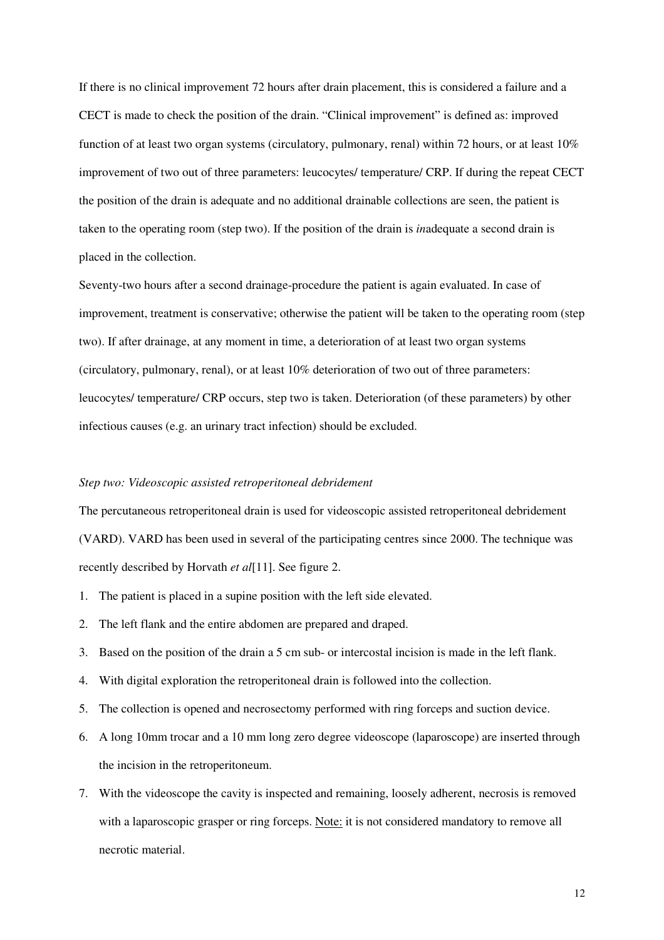If there is no clinical improvement 72 hours after drain placement, this is considered a failure and a CECT is made to check the position of the drain. "Clinical improvement" is defined as: improved function of at least two organ systems (circulatory, pulmonary, renal) within 72 hours, or at least 10% improvement of two out of three parameters: leucocytes/ temperature/ CRP. If during the repeat CECT the position of the drain is adequate and no additional drainable collections are seen, the patient is taken to the operating room (step two). If the position of the drain is *in*adequate a second drain is placed in the collection.

Seventy-two hours after a second drainage-procedure the patient is again evaluated. In case of improvement, treatment is conservative; otherwise the patient will be taken to the operating room (step two). If after drainage, at any moment in time, a deterioration of at least two organ systems (circulatory, pulmonary, renal), or at least 10% deterioration of two out of three parameters: leucocytes/ temperature/ CRP occurs, step two is taken. Deterioration (of these parameters) by other infectious causes (e.g. an urinary tract infection) should be excluded.

## *Step two: Videoscopic assisted retroperitoneal debridement*

The percutaneous retroperitoneal drain is used for videoscopic assisted retroperitoneal debridement (VARD). VARD has been used in several of the participating centres since 2000. The technique was recently described by Horvath *et al*[11]. See figure 2.

- 1. The patient is placed in a supine position with the left side elevated.
- 2. The left flank and the entire abdomen are prepared and draped.
- 3. Based on the position of the drain a 5 cm sub- or intercostal incision is made in the left flank.
- 4. With digital exploration the retroperitoneal drain is followed into the collection.
- 5. The collection is opened and necrosectomy performed with ring forceps and suction device.
- 6. A long 10mm trocar and a 10 mm long zero degree videoscope (laparoscope) are inserted through the incision in the retroperitoneum.
- 7. With the videoscope the cavity is inspected and remaining, loosely adherent, necrosis is removed with a laparoscopic grasper or ring forceps. Note: it is not considered mandatory to remove all necrotic material.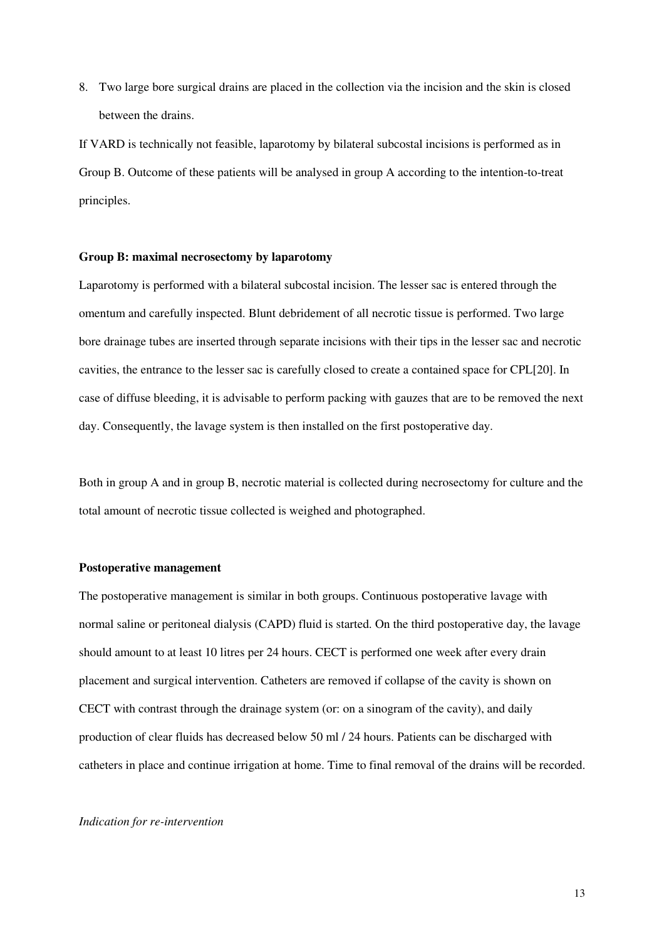8. Two large bore surgical drains are placed in the collection via the incision and the skin is closed between the drains.

If VARD is technically not feasible, laparotomy by bilateral subcostal incisions is performed as in Group B. Outcome of these patients will be analysed in group A according to the intention-to-treat principles.

## **Group B: maximal necrosectomy by laparotomy**

Laparotomy is performed with a bilateral subcostal incision. The lesser sac is entered through the omentum and carefully inspected. Blunt debridement of all necrotic tissue is performed. Two large bore drainage tubes are inserted through separate incisions with their tips in the lesser sac and necrotic cavities, the entrance to the lesser sac is carefully closed to create a contained space for CPL[20]. In case of diffuse bleeding, it is advisable to perform packing with gauzes that are to be removed the next day. Consequently, the lavage system is then installed on the first postoperative day.

Both in group A and in group B, necrotic material is collected during necrosectomy for culture and the total amount of necrotic tissue collected is weighed and photographed.

## **Postoperative management**

The postoperative management is similar in both groups. Continuous postoperative lavage with normal saline or peritoneal dialysis (CAPD) fluid is started. On the third postoperative day, the lavage should amount to at least 10 litres per 24 hours. CECT is performed one week after every drain placement and surgical intervention. Catheters are removed if collapse of the cavity is shown on CECT with contrast through the drainage system (or: on a sinogram of the cavity), and daily production of clear fluids has decreased below 50 ml / 24 hours. Patients can be discharged with catheters in place and continue irrigation at home. Time to final removal of the drains will be recorded.

#### *Indication for re-intervention*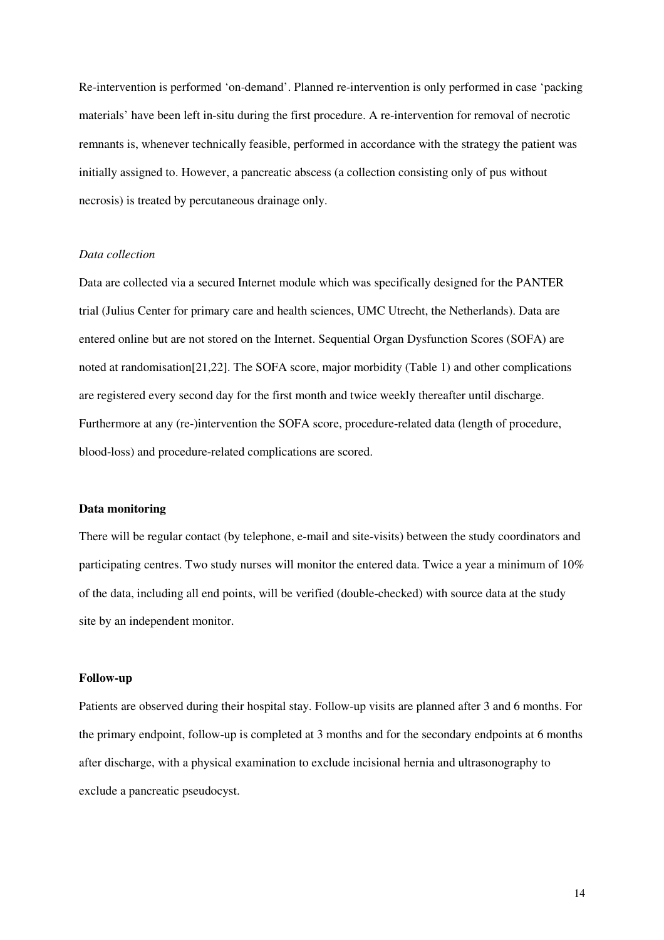Re-intervention is performed 'on-demand'. Planned re-intervention is only performed in case 'packing materials' have been left in-situ during the first procedure. A re-intervention for removal of necrotic remnants is, whenever technically feasible, performed in accordance with the strategy the patient was initially assigned to. However, a pancreatic abscess (a collection consisting only of pus without necrosis) is treated by percutaneous drainage only.

## *Data collection*

Data are collected via a secured Internet module which was specifically designed for the PANTER trial (Julius Center for primary care and health sciences, UMC Utrecht, the Netherlands). Data are entered online but are not stored on the Internet. Sequential Organ Dysfunction Scores (SOFA) are noted at randomisation[21,22]. The SOFA score, major morbidity (Table 1) and other complications are registered every second day for the first month and twice weekly thereafter until discharge. Furthermore at any (re-)intervention the SOFA score, procedure-related data (length of procedure, blood-loss) and procedure-related complications are scored.

## **Data monitoring**

There will be regular contact (by telephone, e-mail and site-visits) between the study coordinators and participating centres. Two study nurses will monitor the entered data. Twice a year a minimum of 10% of the data, including all end points, will be verified (double-checked) with source data at the study site by an independent monitor.

## **Follow-up**

Patients are observed during their hospital stay. Follow-up visits are planned after 3 and 6 months. For the primary endpoint, follow-up is completed at 3 months and for the secondary endpoints at 6 months after discharge, with a physical examination to exclude incisional hernia and ultrasonography to exclude a pancreatic pseudocyst.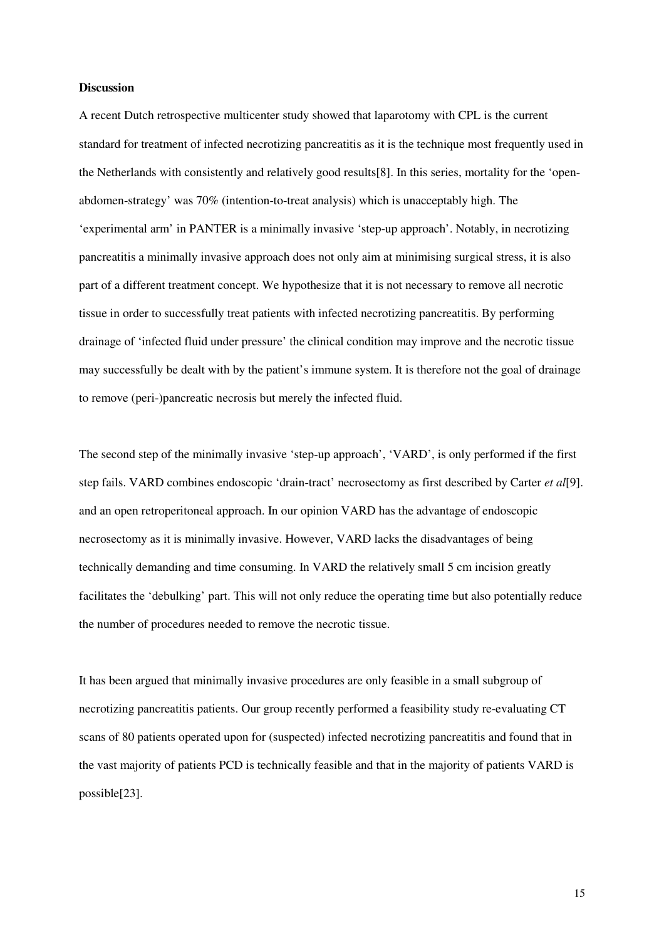### **Discussion**

A recent Dutch retrospective multicenter study showed that laparotomy with CPL is the current standard for treatment of infected necrotizing pancreatitis as it is the technique most frequently used in the Netherlands with consistently and relatively good results[8]. In this series, mortality for the 'openabdomen-strategy' was 70% (intention-to-treat analysis) which is unacceptably high. The 'experimental arm' in PANTER is a minimally invasive 'step-up approach'. Notably, in necrotizing pancreatitis a minimally invasive approach does not only aim at minimising surgical stress, it is also part of a different treatment concept. We hypothesize that it is not necessary to remove all necrotic tissue in order to successfully treat patients with infected necrotizing pancreatitis. By performing drainage of 'infected fluid under pressure' the clinical condition may improve and the necrotic tissue may successfully be dealt with by the patient's immune system. It is therefore not the goal of drainage to remove (peri-)pancreatic necrosis but merely the infected fluid.

The second step of the minimally invasive 'step-up approach', 'VARD', is only performed if the first step fails. VARD combines endoscopic 'drain-tract' necrosectomy as first described by Carter *et al*[9]. and an open retroperitoneal approach. In our opinion VARD has the advantage of endoscopic necrosectomy as it is minimally invasive. However, VARD lacks the disadvantages of being technically demanding and time consuming. In VARD the relatively small 5 cm incision greatly facilitates the 'debulking' part. This will not only reduce the operating time but also potentially reduce the number of procedures needed to remove the necrotic tissue.

It has been argued that minimally invasive procedures are only feasible in a small subgroup of necrotizing pancreatitis patients. Our group recently performed a feasibility study re-evaluating CT scans of 80 patients operated upon for (suspected) infected necrotizing pancreatitis and found that in the vast majority of patients PCD is technically feasible and that in the majority of patients VARD is possible[23].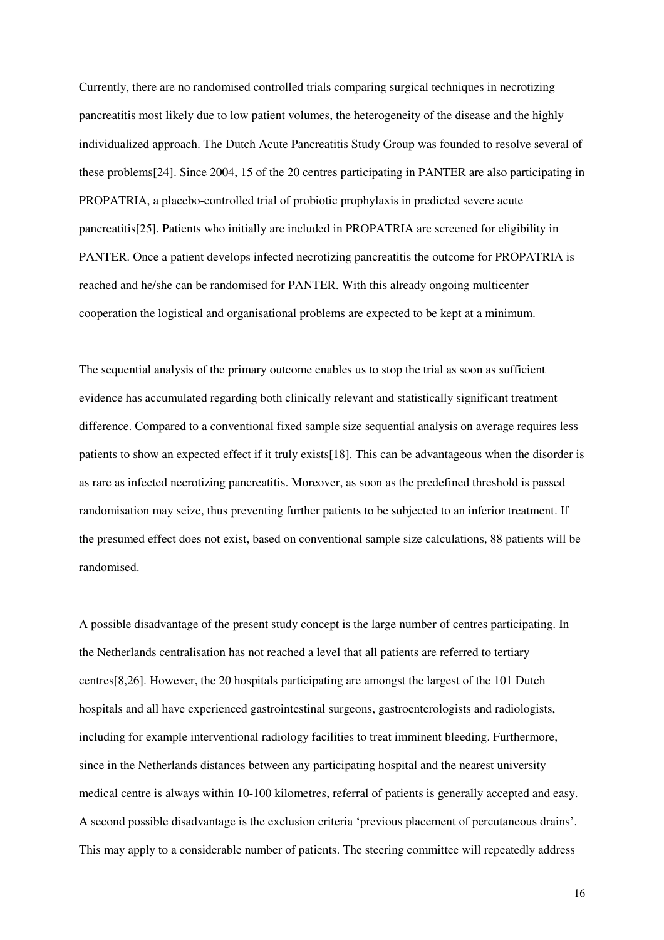Currently, there are no randomised controlled trials comparing surgical techniques in necrotizing pancreatitis most likely due to low patient volumes, the heterogeneity of the disease and the highly individualized approach. The Dutch Acute Pancreatitis Study Group was founded to resolve several of these problems[24]. Since 2004, 15 of the 20 centres participating in PANTER are also participating in PROPATRIA, a placebo-controlled trial of probiotic prophylaxis in predicted severe acute pancreatitis[25]. Patients who initially are included in PROPATRIA are screened for eligibility in PANTER. Once a patient develops infected necrotizing pancreatitis the outcome for PROPATRIA is reached and he/she can be randomised for PANTER. With this already ongoing multicenter cooperation the logistical and organisational problems are expected to be kept at a minimum.

The sequential analysis of the primary outcome enables us to stop the trial as soon as sufficient evidence has accumulated regarding both clinically relevant and statistically significant treatment difference. Compared to a conventional fixed sample size sequential analysis on average requires less patients to show an expected effect if it truly exists[18]. This can be advantageous when the disorder is as rare as infected necrotizing pancreatitis. Moreover, as soon as the predefined threshold is passed randomisation may seize, thus preventing further patients to be subjected to an inferior treatment. If the presumed effect does not exist, based on conventional sample size calculations, 88 patients will be randomised.

A possible disadvantage of the present study concept is the large number of centres participating. In the Netherlands centralisation has not reached a level that all patients are referred to tertiary centres[8,26]. However, the 20 hospitals participating are amongst the largest of the 101 Dutch hospitals and all have experienced gastrointestinal surgeons, gastroenterologists and radiologists, including for example interventional radiology facilities to treat imminent bleeding. Furthermore, since in the Netherlands distances between any participating hospital and the nearest university medical centre is always within 10-100 kilometres, referral of patients is generally accepted and easy. A second possible disadvantage is the exclusion criteria 'previous placement of percutaneous drains'. This may apply to a considerable number of patients. The steering committee will repeatedly address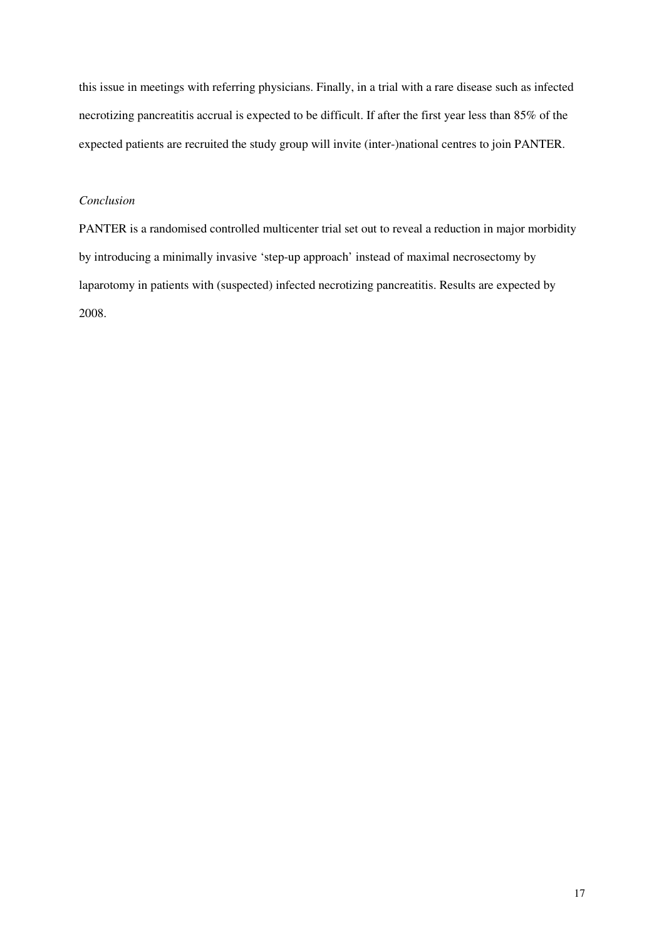this issue in meetings with referring physicians. Finally, in a trial with a rare disease such as infected necrotizing pancreatitis accrual is expected to be difficult. If after the first year less than 85% of the expected patients are recruited the study group will invite (inter-)national centres to join PANTER.

## *Conclusion*

PANTER is a randomised controlled multicenter trial set out to reveal a reduction in major morbidity by introducing a minimally invasive 'step-up approach' instead of maximal necrosectomy by laparotomy in patients with (suspected) infected necrotizing pancreatitis. Results are expected by 2008.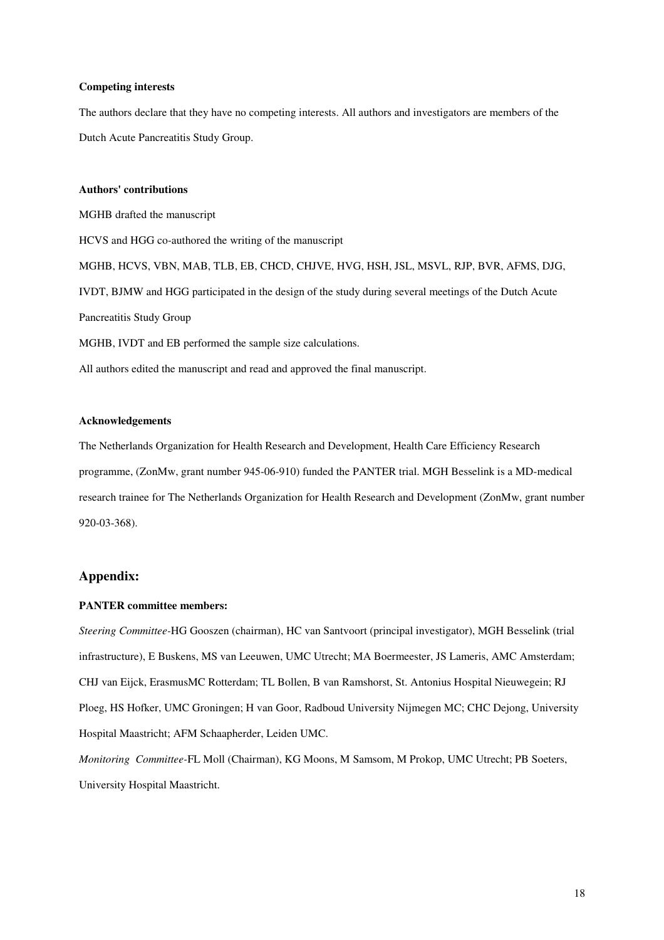#### **Competing interests**

The authors declare that they have no competing interests. All authors and investigators are members of the Dutch Acute Pancreatitis Study Group.

## **Authors' contributions**

MGHB drafted the manuscript

HCVS and HGG co-authored the writing of the manuscript

MGHB, HCVS, VBN, MAB, TLB, EB, CHCD, CHJVE, HVG, HSH, JSL, MSVL, RJP, BVR, AFMS, DJG, IVDT, BJMW and HGG participated in the design of the study during several meetings of the Dutch Acute Pancreatitis Study Group MGHB, IVDT and EB performed the sample size calculations.

All authors edited the manuscript and read and approved the final manuscript.

## **Acknowledgements**

The Netherlands Organization for Health Research and Development, Health Care Efficiency Research programme, (ZonMw, grant number 945-06-910) funded the PANTER trial. MGH Besselink is a MD-medical research trainee for The Netherlands Organization for Health Research and Development (ZonMw, grant number 920-03-368).

## **Appendix:**

## **PANTER committee members:**

*Steering Committee-*HG Gooszen (chairman), HC van Santvoort (principal investigator), MGH Besselink (trial infrastructure), E Buskens, MS van Leeuwen, UMC Utrecht; MA Boermeester, JS Lameris, AMC Amsterdam; CHJ van Eijck, ErasmusMC Rotterdam; TL Bollen, B van Ramshorst, St. Antonius Hospital Nieuwegein; RJ Ploeg, HS Hofker, UMC Groningen; H van Goor, Radboud University Nijmegen MC; CHC Dejong, University Hospital Maastricht; AFM Schaapherder, Leiden UMC.

*Monitoring Committee-*FL Moll (Chairman), KG Moons, M Samsom, M Prokop, UMC Utrecht; PB Soeters, University Hospital Maastricht.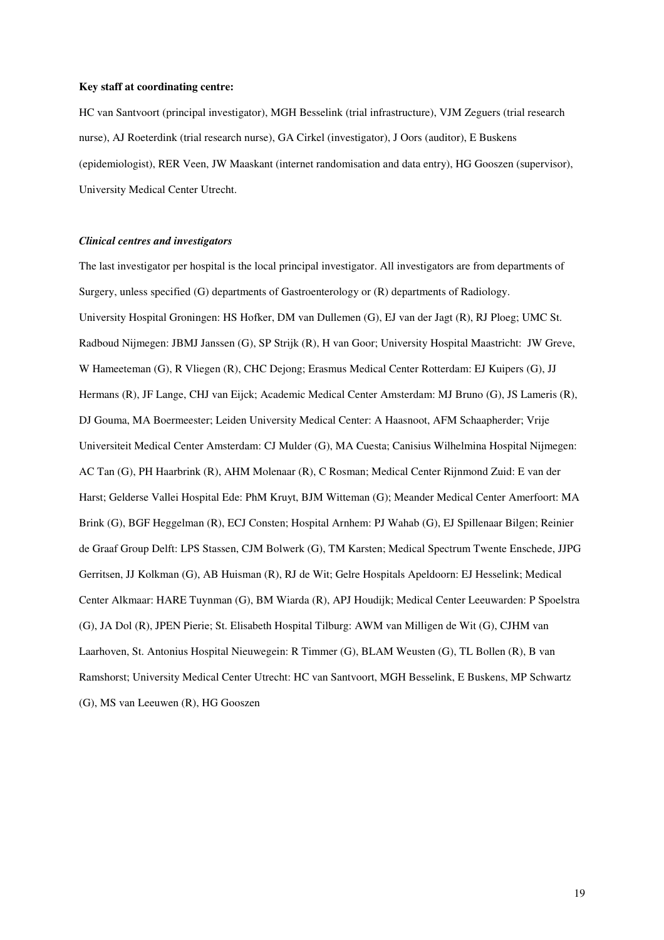#### **Key staff at coordinating centre:**

HC van Santvoort (principal investigator), MGH Besselink (trial infrastructure), VJM Zeguers (trial research nurse), AJ Roeterdink (trial research nurse), GA Cirkel (investigator), J Oors (auditor), E Buskens (epidemiologist), RER Veen, JW Maaskant (internet randomisation and data entry), HG Gooszen (supervisor), University Medical Center Utrecht.

#### *Clinical centres and investigators*

The last investigator per hospital is the local principal investigator. All investigators are from departments of Surgery, unless specified (G) departments of Gastroenterology or (R) departments of Radiology. University Hospital Groningen: HS Hofker, DM van Dullemen (G), EJ van der Jagt (R), RJ Ploeg; UMC St. Radboud Nijmegen: JBMJ Janssen (G), SP Strijk (R), H van Goor; University Hospital Maastricht: JW Greve, W Hameeteman (G), R Vliegen (R), CHC Dejong; Erasmus Medical Center Rotterdam: EJ Kuipers (G), JJ Hermans (R), JF Lange, CHJ van Eijck; Academic Medical Center Amsterdam: MJ Bruno (G), JS Lameris (R), DJ Gouma, MA Boermeester; Leiden University Medical Center: A Haasnoot, AFM Schaapherder; Vrije Universiteit Medical Center Amsterdam: CJ Mulder (G), MA Cuesta; Canisius Wilhelmina Hospital Nijmegen: AC Tan (G), PH Haarbrink (R), AHM Molenaar (R), C Rosman; Medical Center Rijnmond Zuid: E van der Harst; Gelderse Vallei Hospital Ede: PhM Kruyt, BJM Witteman (G); Meander Medical Center Amerfoort: MA Brink (G), BGF Heggelman (R), ECJ Consten; Hospital Arnhem: PJ Wahab (G), EJ Spillenaar Bilgen; Reinier de Graaf Group Delft: LPS Stassen, CJM Bolwerk (G), TM Karsten; Medical Spectrum Twente Enschede, JJPG Gerritsen, JJ Kolkman (G), AB Huisman (R), RJ de Wit; Gelre Hospitals Apeldoorn: EJ Hesselink; Medical Center Alkmaar: HARE Tuynman (G), BM Wiarda (R), APJ Houdijk; Medical Center Leeuwarden: P Spoelstra (G), JA Dol (R), JPEN Pierie; St. Elisabeth Hospital Tilburg: AWM van Milligen de Wit (G), CJHM van Laarhoven, St. Antonius Hospital Nieuwegein: R Timmer (G), BLAM Weusten (G), TL Bollen (R), B van Ramshorst; University Medical Center Utrecht: HC van Santvoort, MGH Besselink, E Buskens, MP Schwartz (G), MS van Leeuwen (R), HG Gooszen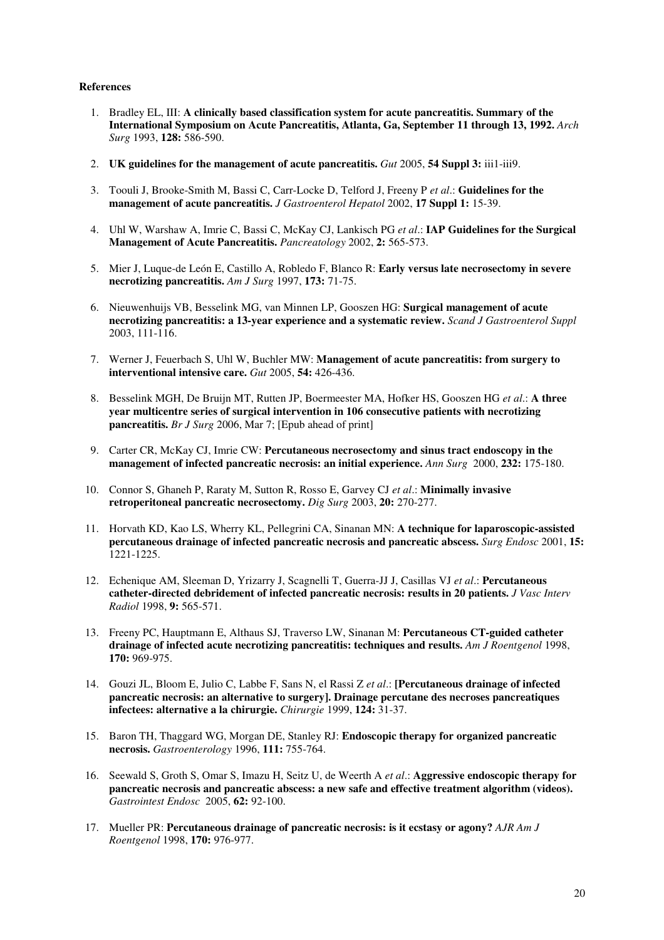#### **References**

- 1. Bradley EL, III: **A clinically based classification system for acute pancreatitis. Summary of the International Symposium on Acute Pancreatitis, Atlanta, Ga, September 11 through 13, 1992.** *Arch Surg* 1993, **128:** 586-590.
- 2. **UK guidelines for the management of acute pancreatitis.** *Gut* 2005, **54 Suppl 3:** iii1-iii9.
- 3. Toouli J, Brooke-Smith M, Bassi C, Carr-Locke D, Telford J, Freeny P *et al*.: **Guidelines for the management of acute pancreatitis.** *J Gastroenterol Hepatol* 2002, **17 Suppl 1:** 15-39.
- 4. Uhl W, Warshaw A, Imrie C, Bassi C, McKay CJ, Lankisch PG *et al*.: **IAP Guidelines for the Surgical Management of Acute Pancreatitis.** *Pancreatology* 2002, **2:** 565-573.
- 5. Mier J, Luque-de León E, Castillo A, Robledo F, Blanco R: **Early versus late necrosectomy in severe necrotizing pancreatitis.** *Am J Surg* 1997, **173:** 71-75.
- 6. Nieuwenhuijs VB, Besselink MG, van Minnen LP, Gooszen HG: **Surgical management of acute necrotizing pancreatitis: a 13-year experience and a systematic review.** *Scand J Gastroenterol Suppl* 2003, 111-116.
- 7. Werner J, Feuerbach S, Uhl W, Buchler MW: **Management of acute pancreatitis: from surgery to interventional intensive care.** *Gut* 2005, **54:** 426-436.
- 8. Besselink MGH, De Bruijn MT, Rutten JP, Boermeester MA, Hofker HS, Gooszen HG *et al*.: **A three year multicentre series of surgical intervention in 106 consecutive patients with necrotizing pancreatitis.** *Br J Surg* 2006, Mar 7; [Epub ahead of print]
- 9. Carter CR, McKay CJ, Imrie CW: **Percutaneous necrosectomy and sinus tract endoscopy in the management of infected pancreatic necrosis: an initial experience.** *Ann Surg* 2000, **232:** 175-180.
- 10. Connor S, Ghaneh P, Raraty M, Sutton R, Rosso E, Garvey CJ *et al*.: **Minimally invasive retroperitoneal pancreatic necrosectomy.** *Dig Surg* 2003, **20:** 270-277.
- 11. Horvath KD, Kao LS, Wherry KL, Pellegrini CA, Sinanan MN: **A technique for laparoscopic-assisted percutaneous drainage of infected pancreatic necrosis and pancreatic abscess.** *Surg Endosc* 2001, **15:** 1221-1225.
- 12. Echenique AM, Sleeman D, Yrizarry J, Scagnelli T, Guerra-JJ J, Casillas VJ *et al*.: **Percutaneous catheter-directed debridement of infected pancreatic necrosis: results in 20 patients.** *J Vasc Interv Radiol* 1998, **9:** 565-571.
- 13. Freeny PC, Hauptmann E, Althaus SJ, Traverso LW, Sinanan M: **Percutaneous CT-guided catheter drainage of infected acute necrotizing pancreatitis: techniques and results.** *Am J Roentgenol* 1998, **170:** 969-975.
- 14. Gouzi JL, Bloom E, Julio C, Labbe F, Sans N, el Rassi Z *et al*.: **[Percutaneous drainage of infected pancreatic necrosis: an alternative to surgery]. Drainage percutane des necroses pancreatiques infectees: alternative a la chirurgie.** *Chirurgie* 1999, **124:** 31-37.
- 15. Baron TH, Thaggard WG, Morgan DE, Stanley RJ: **Endoscopic therapy for organized pancreatic necrosis.** *Gastroenterology* 1996, **111:** 755-764.
- 16. Seewald S, Groth S, Omar S, Imazu H, Seitz U, de Weerth A *et al*.: **Aggressive endoscopic therapy for pancreatic necrosis and pancreatic abscess: a new safe and effective treatment algorithm (videos).** *Gastrointest Endosc* 2005, **62:** 92-100.
- 17. Mueller PR: **Percutaneous drainage of pancreatic necrosis: is it ecstasy or agony?** *AJR Am J Roentgenol* 1998, **170:** 976-977.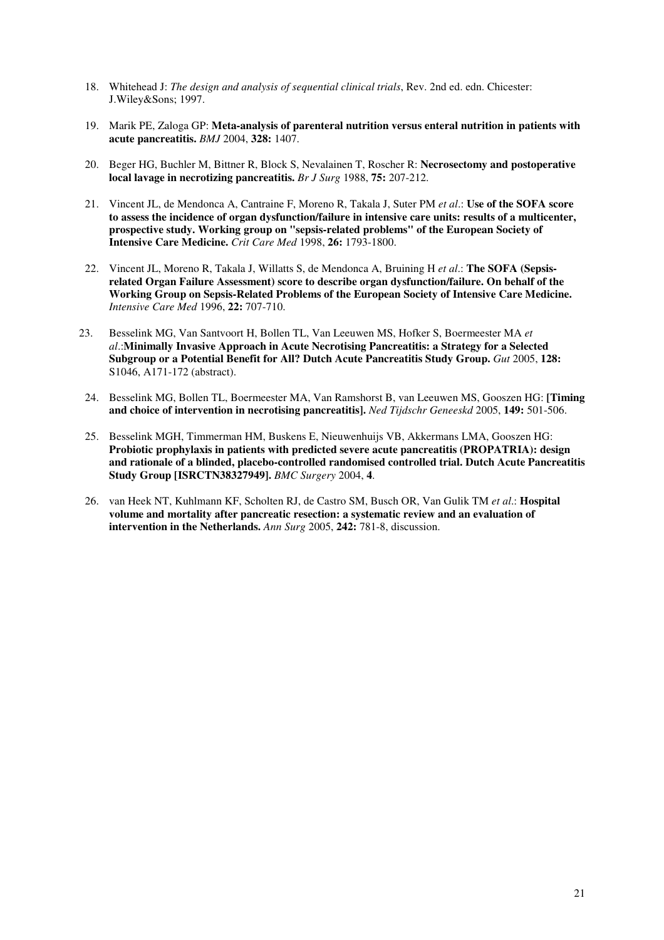- 18. Whitehead J: *The design and analysis of sequential clinical trials*, Rev. 2nd ed. edn. Chicester: J.Wiley&Sons; 1997.
- 19. Marik PE, Zaloga GP: **Meta-analysis of parenteral nutrition versus enteral nutrition in patients with acute pancreatitis.** *BMJ* 2004, **328:** 1407.
- 20. Beger HG, Buchler M, Bittner R, Block S, Nevalainen T, Roscher R: **Necrosectomy and postoperative local lavage in necrotizing pancreatitis.** *Br J Surg* 1988, **75:** 207-212.
- 21. Vincent JL, de Mendonca A, Cantraine F, Moreno R, Takala J, Suter PM *et al*.: **Use of the SOFA score to assess the incidence of organ dysfunction/failure in intensive care units: results of a multicenter, prospective study. Working group on "sepsis-related problems" of the European Society of Intensive Care Medicine.** *Crit Care Med* 1998, **26:** 1793-1800.
- 22. Vincent JL, Moreno R, Takala J, Willatts S, de Mendonca A, Bruining H *et al*.: **The SOFA (Sepsisrelated Organ Failure Assessment) score to describe organ dysfunction/failure. On behalf of the Working Group on Sepsis-Related Problems of the European Society of Intensive Care Medicine.** *Intensive Care Med* 1996, **22:** 707-710.
- 23. Besselink MG, Van Santvoort H, Bollen TL, Van Leeuwen MS, Hofker S, Boermeester MA *et al*.:**Minimally Invasive Approach in Acute Necrotising Pancreatitis: a Strategy for a Selected Subgroup or a Potential Benefit for All? Dutch Acute Pancreatitis Study Group.** *Gut* 2005, **128:**  S1046, A171-172 (abstract).
- 24. Besselink MG, Bollen TL, Boermeester MA, Van Ramshorst B, van Leeuwen MS, Gooszen HG: **[Timing and choice of intervention in necrotising pancreatitis].** *Ned Tijdschr Geneeskd* 2005, **149:** 501-506.
- 25. Besselink MGH, Timmerman HM, Buskens E, Nieuwenhuijs VB, Akkermans LMA, Gooszen HG: **Probiotic prophylaxis in patients with predicted severe acute pancreatitis (PROPATRIA): design and rationale of a blinded, placebo-controlled randomised controlled trial. Dutch Acute Pancreatitis Study Group [ISRCTN38327949].** *BMC Surgery* 2004, **4**.
- 26. van Heek NT, Kuhlmann KF, Scholten RJ, de Castro SM, Busch OR, Van Gulik TM *et al*.: **Hospital volume and mortality after pancreatic resection: a systematic review and an evaluation of intervention in the Netherlands.** *Ann Surg* 2005, **242:** 781-8, discussion.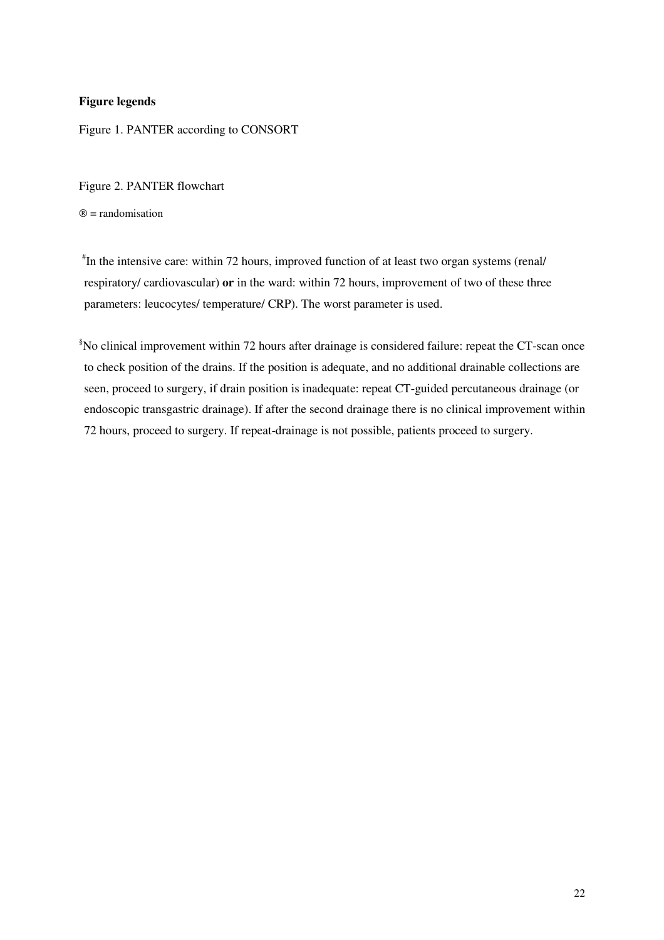## **Figure legends**

Figure 1. PANTER according to CONSORT

Figure 2. PANTER flowchart

 $\circledR$  = randomisation

# In the intensive care: within 72 hours, improved function of at least two organ systems (renal/ respiratory/ cardiovascular) **or** in the ward: within 72 hours, improvement of two of these three parameters: leucocytes/ temperature/ CRP). The worst parameter is used.

§No clinical improvement within 72 hours after drainage is considered failure: repeat the CT-scan once to check position of the drains. If the position is adequate, and no additional drainable collections are seen, proceed to surgery, if drain position is inadequate: repeat CT-guided percutaneous drainage (or endoscopic transgastric drainage). If after the second drainage there is no clinical improvement within 72 hours, proceed to surgery. If repeat-drainage is not possible, patients proceed to surgery.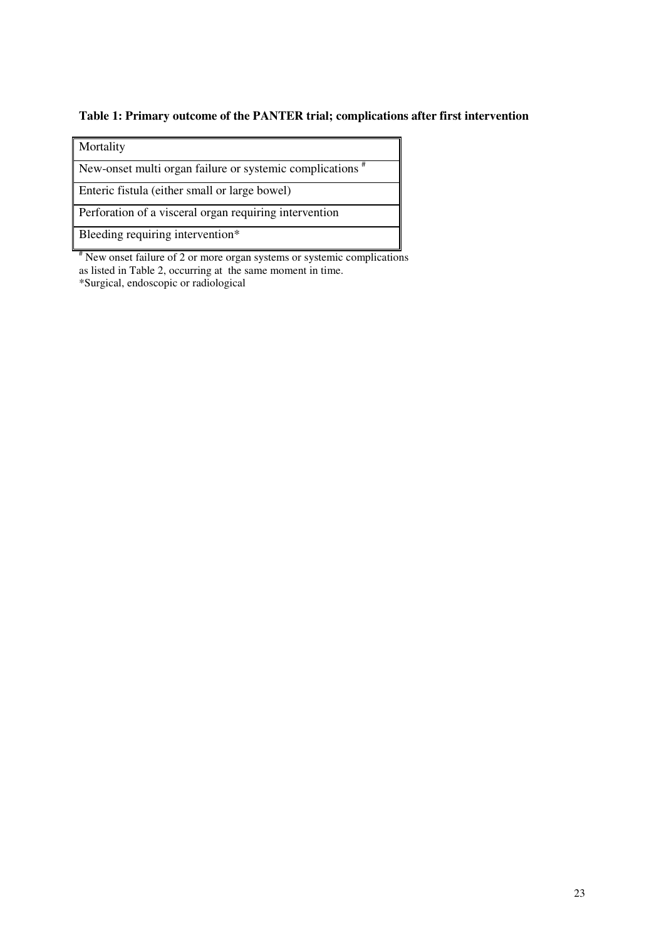# **Table 1: Primary outcome of the PANTER trial; complications after first intervention**

| Mortality                                                   |  |  |  |
|-------------------------------------------------------------|--|--|--|
| New-onset multi organ failure or systemic complications $*$ |  |  |  |
| Enteric fistula (either small or large bowel)               |  |  |  |
| Perforation of a visceral organ requiring intervention      |  |  |  |
| Bleeding requiring intervention*                            |  |  |  |

# New onset failure of 2 or more organ systems or systemic complications as listed in Table 2, occurring at the same moment in time. \*Surgical, endoscopic or radiological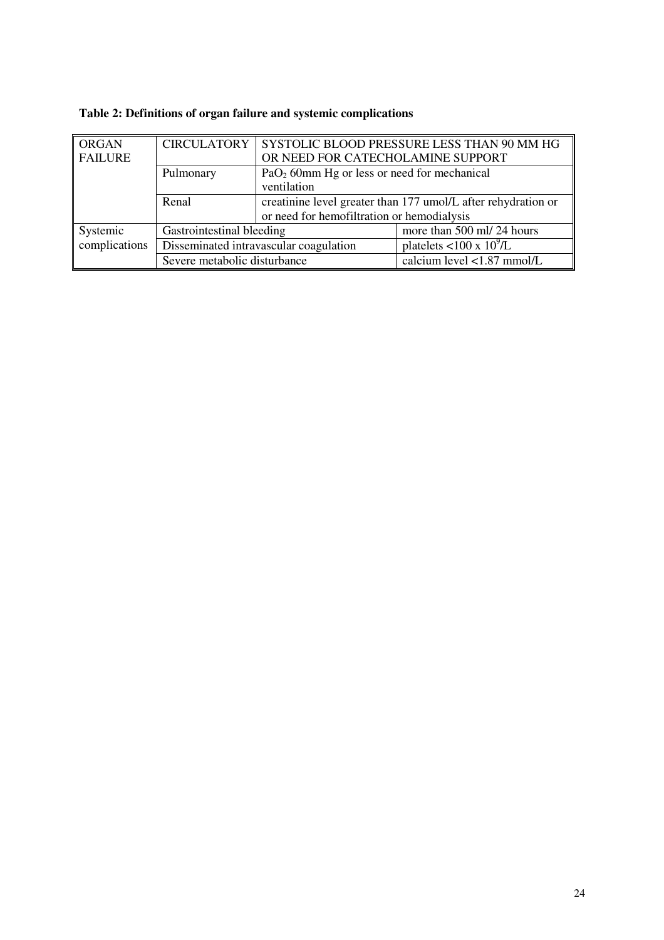| Table 2: Definitions of organ failure and systemic complications |  |  |  |  |
|------------------------------------------------------------------|--|--|--|--|
|------------------------------------------------------------------|--|--|--|--|

| <b>ORGAN</b>   | <b>CIRCULATORY</b>           | SYSTOLIC BLOOD PRESSURE LESS THAN 90 MM HG                    |                               |  |
|----------------|------------------------------|---------------------------------------------------------------|-------------------------------|--|
| <b>FAILURE</b> |                              | OR NEED FOR CATECHOLAMINE SUPPORT                             |                               |  |
|                | Pulmonary                    | $PaO2$ 60mm Hg or less or need for mechanical                 |                               |  |
|                |                              | ventilation                                                   |                               |  |
|                | Renal                        | creatinine level greater than 177 umol/L after rehydration or |                               |  |
|                |                              | or need for hemofiltration or hemodialysis                    |                               |  |
| Systemic       | Gastrointestinal bleeding    |                                                               | more than 500 ml/ 24 hours    |  |
| complications  |                              | Disseminated intravascular coagulation                        | platelets <100 x $10^9$ /L    |  |
|                | Severe metabolic disturbance |                                                               | calcium level $<$ 1.87 mmol/L |  |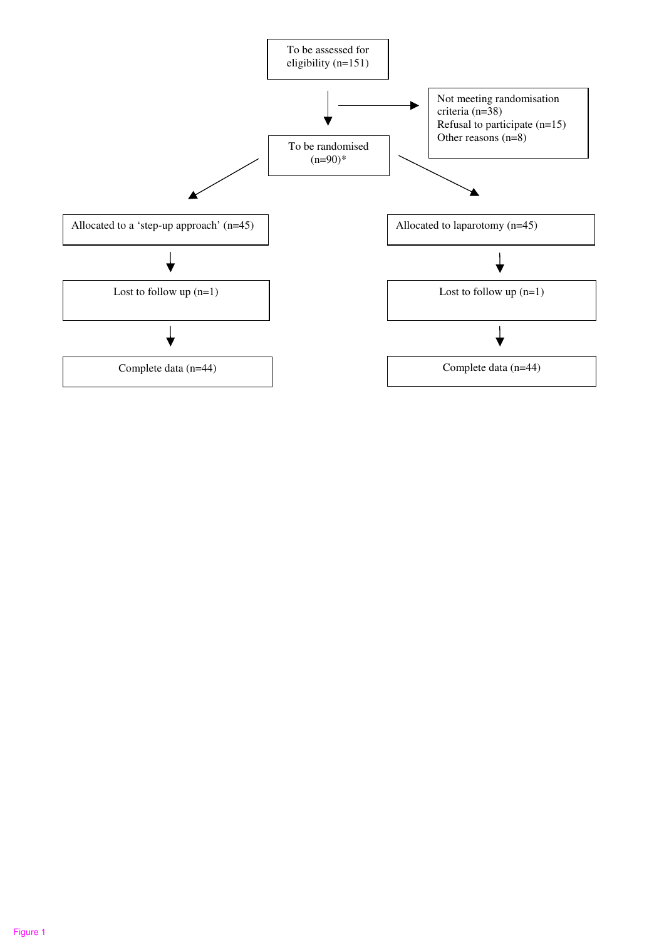